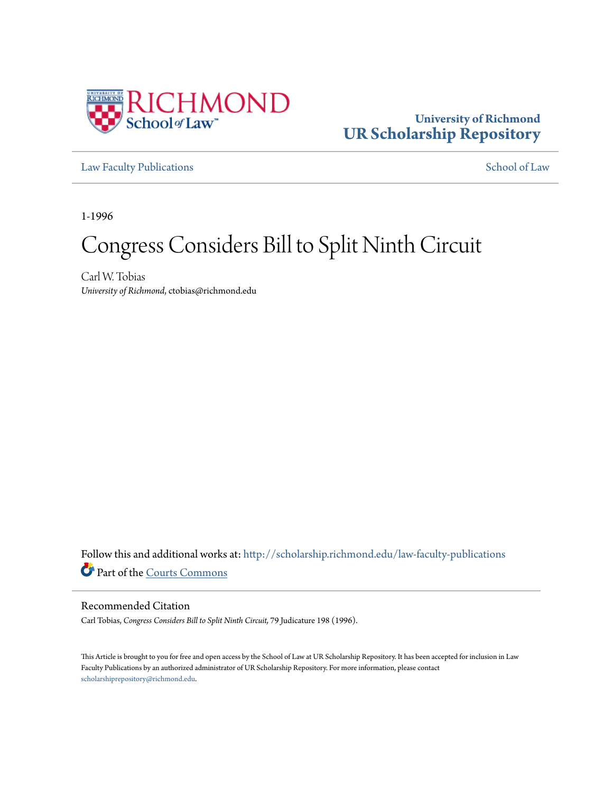

## **University of Richmond [UR Scholarship Repository](http://scholarship.richmond.edu?utm_source=scholarship.richmond.edu%2Flaw-faculty-publications%2F1055&utm_medium=PDF&utm_campaign=PDFCoverPages)**

[Law Faculty Publications](http://scholarship.richmond.edu/law-faculty-publications?utm_source=scholarship.richmond.edu%2Flaw-faculty-publications%2F1055&utm_medium=PDF&utm_campaign=PDFCoverPages) [School of Law](http://scholarship.richmond.edu/law?utm_source=scholarship.richmond.edu%2Flaw-faculty-publications%2F1055&utm_medium=PDF&utm_campaign=PDFCoverPages)

1-1996

# Congress Considers Bill to Split Ninth Circuit

Carl W. Tobias *University of Richmond*, ctobias@richmond.edu

Follow this and additional works at: [http://scholarship.richmond.edu/law-faculty-publications](http://scholarship.richmond.edu/law-faculty-publications?utm_source=scholarship.richmond.edu%2Flaw-faculty-publications%2F1055&utm_medium=PDF&utm_campaign=PDFCoverPages) Part of the [Courts Commons](http://network.bepress.com/hgg/discipline/839?utm_source=scholarship.richmond.edu%2Flaw-faculty-publications%2F1055&utm_medium=PDF&utm_campaign=PDFCoverPages)

#### Recommended Citation

Carl Tobias, *Congress Considers Bill to Split Ninth Circuit,* 79 Judicature 198 (1996).

This Article is brought to you for free and open access by the School of Law at UR Scholarship Repository. It has been accepted for inclusion in Law Faculty Publications by an authorized administrator of UR Scholarship Repository. For more information, please contact [scholarshiprepository@richmond.edu.](mailto:scholarshiprepository@richmond.edu)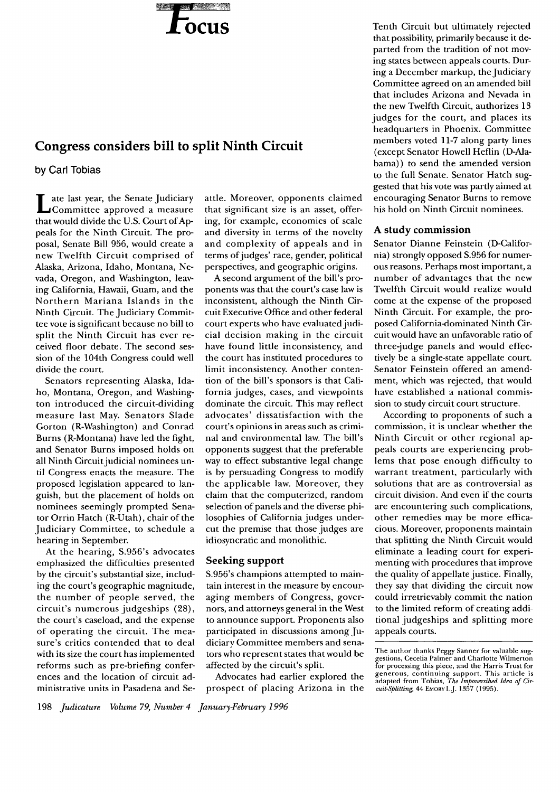

## **Congress considers bill to split Ninth Circuit**

**by Carl Tobias** 

Late last year, the Senate Judiciary<br>
Committee approved a measure that would divide the U.S. Court of Appeals for the Ninth Circuit. The proposal, Senate Bill 956, would create a new Twelfth Circuit comprised of Alaska, Arizona, Idaho, Montana, Nevada, Oregon, and Washington, leaving California, Hawaii, Guam, and the Northern Mariana Islands in the Ninth Circuit. The Judiciary Committee vote is significant because no bill to split the Ninth Circuit has ever received floor debate. The second session of the 104th Congress could well divide the court.

Senators representing Alaska, Idaho, Montana, Oregon, and Washington introduced the circuit-dividing measure last May. Senators Slade Gorton (R-Washington) and Conrad Burns (R-Montana) have led the fight, and Senator Burns imposed holds on all Ninth Circuit judicial nominees until Congress enacts the measure. The proposed legislation appeared to languish, but the placement of holds on nominees seemingly prompted Senator Orrin Hatch (R-Utah), chair of the Judiciary Committee, to schedule a hearing in September.

At the hearing, S.956's advocates emphasized the difficulties presented by the circuit's substantial size, including the court's geographic magnitude, the number of people served, the circuit's numerous judgeships (28), the court's caseload, and the expense of operating the circuit. The measure's critics contended that to deal with its size the court has implemented reforms such as pre-briefing conferences and the location of circuit administrative units in Pasadena and Seattle. Moreover, opponents claimed that significant size is an asset, offering, for example, economies of scale and diversity in terms of the novelty and complexity of appeals and in terms of judges' race, gender, political perspectives, and geographic origins.

A second argument of the bill's proponents was that the court's case law is inconsistent, although the Ninth Circuit Executive Office and other federal court experts who have evaluated judicial decision making in the circuit have found little inconsistency, and the court has instituted procedures to limit inconsistency. Another contention of the bill's sponsors is that California judges, cases, and viewpoints dominate the circuit. This may reflect advocates' dissatisfaction with the court's opinions in areas such as criminal and environmental law. The bill's opponents suggest that the preferable way to effect substantive legal change is by persuading Congress to modify the applicable law. Moreover, they claim that the computerized, random selection of panels and the diverse philosophies of California judges undercut the premise that those judges are idiosyncratic and monolithic.

#### **Seeking support**

S.956's champions attempted to maintain interest in the measure by encouraging members of Congress, governors, and attorneys general in the West to announce support. Proponents also participated in discussions among Judiciary Committee members and senators who represent states that would be affected by the circuit's split.

Advocates had earlier explored the prospect of placing Arizona in the Tenth Circuit but ultimately rejected that possibility, primarily because it departed from the tradition of not moving states between appeals courts. During a December markup, the Judiciary Committee agreed on an amended bill that includes Arizona and Nevada in the new Twelfth Circuit, authorizes 13 judges for the court, and places its headquarters in Phoenix. Committee members voted 11-7 along party lines (except Senator Howell Heflin (D-Alabama)) to send the amended version to the full Senate. Senator Hatch suggested that his vote was partly aimed at encouraging Senator Burns to remove his hold on Ninth Circuit nominees.

### **A study commission**

Senator Dianne Feinstein (D-California) strongly opposed S.956 for numerous reasons. Perhaps most important, a number of advantages that the new Twelfth Circuit would realize would come at the expense of the proposed Ninth Circuit. For example, the proposed California-dominated Ninth Circuit would have an unfavorable ratio of threejudge panels and would effectively be a single-state appellate court. Senator Feinstein offered an amendment, which was rejected, that would have established a national commission to study circuit court structure.

According to proponents of such a commission, it is unclear whether the Ninth Circuit or other regional appeals courts are experiencing problems that pose enough difficulty to warrant treatment, particularly with solutions that are as controversial as circuit division. And even if the courts are encountering such complications, other remedies may be more efficacious. Moreover, proponents maintain that splitting the Ninth Circuit would eliminate a leading court for experimenting with procedures that improve the quality of appellate justice. Finally, they say that dividing the circuit now could irretrievably commit the nation to the limited reform of creating additional judgeships and splitting more appeals courts.

The author thanks Peggy Sanner for valuable sug-gestions. Cecelia Palmer and Charlotte Wilmerton for processing this piece, and the Harris Trust for generous, continuing support. This article is adapted from Tobias, *The lmpoversihed Idea of Circuit-Splitting,* 44 EMORYLJ. 1357 (1995).